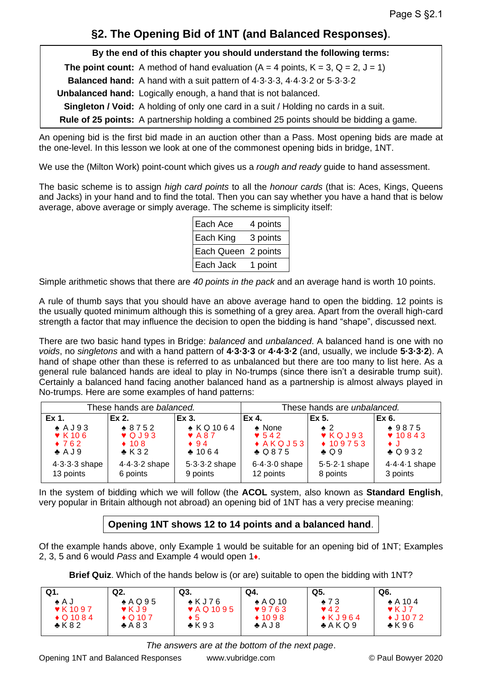# **§2. The Opening Bid of 1NT (and Balanced Responses)**.

**By the end of this chapter you should understand the following terms: The point count:** A method of hand evaluation  $(A = 4 \text{ points}, K = 3, Q = 2, J = 1)$ **Balanced hand:** A hand with a suit pattern of 4.3.3.3, 4.4.3.2 or 5.3.3.2

**Unbalanced hand:** Logically enough, a hand that is not balanced.

**Singleton / Void:** A holding of only one card in a suit / Holding no cards in a suit.

**Rule of 25 points:** A partnership holding a combined 25 points should be bidding a game.

An opening bid is the first bid made in an auction other than a Pass. Most opening bids are made at the one-level. In this lesson we look at one of the commonest opening bids in bridge, 1NT.

We use the (Milton Work) point-count which gives us a *rough and ready* guide to hand assessment.

The basic scheme is to assign *high card points* to all the *honour cards* (that is: Aces, Kings, Queens and Jacks) in your hand and to find the total. Then you can say whether you have a hand that is below average, above average or simply average. The scheme is simplicity itself:

| Each Ace            | 4 points |
|---------------------|----------|
| <b>Each King</b>    | 3 points |
| Each Queen 2 points |          |
| <b>Each Jack</b>    | 1 point  |

Simple arithmetic shows that there are *40 points in the pack* and an average hand is worth 10 points.

A rule of thumb says that you should have an above average hand to open the bidding. 12 points is the usually quoted minimum although this is something of a grey area. Apart from the overall high-card strength a factor that may influence the decision to open the bidding is hand "shape", discussed next.

There are two basic hand types in Bridge: *balanced* and *unbalanced*. A balanced hand is one with no *voids*, no *singletons* and with a hand pattern of **4·3·3·3** or **4·4·3·2** (and, usually, we include **5·3·3·2**). A hand of shape other than these is referred to as unbalanced but there are too many to list here. As a general rule balanced hands are ideal to play in No-trumps (since there isn't a desirable trump suit). Certainly a balanced hand facing another balanced hand as a partnership is almost always played in No-trumps. Here are some examples of hand patterns:

| These hands are balanced.   |                 | These hands are <i>unbalanced</i> . |                  |                             |                |
|-----------------------------|-----------------|-------------------------------------|------------------|-----------------------------|----------------|
| Ex 1.                       | Ex 2.           | Ex 3.                               | Ex 4.            | Ex 5.                       | Ex 6.          |
| $\triangle$ AJ93            | $*8752$         | $\triangle$ KQ 1064                 | $\triangle$ None | $\bullet$ 2                 | $*9875$        |
| $\blacktriangledown$ K 10 6 | $\sqrt{Q}$ J93  | $\blacktriangledown$ A 8.7          | $\bullet$ 542    | $\blacktriangledown$ KQ J93 | $\sqrt{10843}$ |
| $\bullet$ 762               | $\div$ 108      | $\bullet$ 94                        | $*AKQJ53$        | $*109753$                   | $\bullet$ J    |
| $\clubsuit$ A J 9           | $\triangle$ K32 | $*1064$                             | $\triangle Q875$ | $\bullet$ Q 9               | $\bullet$ Q932 |
| $4.3.3.3$ shape             | $4.4.3.2$ shape | $5.3.3.2$ shape                     | $6.4.3.0$ shape  | $5.5.2.1$ shape             | 4.4.4.1 shape  |
| 13 points                   | 6 points        | 9 points                            | 12 points        | 8 points                    | 3 points       |

In the system of bidding which we will follow (the **ACOL** system, also known as **Standard English**, very popular in Britain although not abroad) an opening bid of 1NT has a very precise meaning:

## **Opening 1NT shows 12 to 14 points and a balanced hand**.

Of the example hands above, only Example 1 would be suitable for an opening bid of 1NT; Examples 2, 3, 5 and 6 would *Pass* and Example 4 would open 1♦.

**Brief Quiz**. Which of the hands below is (or are) suitable to open the bidding with 1NT?

| Q1.                      | Q2.                        | Q3.                          | Q4.              | Q5.                     | Q6.                        |
|--------------------------|----------------------------|------------------------------|------------------|-------------------------|----------------------------|
| l A ∌                    | $\triangle$ AQ95           | $\triangle$ KJ76             | $\bullet$ A Q 10 | $\bullet$ 73            | $\triangle$ A 104          |
| $\triangledown$ K 10 9 7 | $\blacktriangledown$ K J 9 | $\blacktriangledown$ AQ 1095 | 9763             | $\blacktriangledown$ 42 | $\blacktriangledown$ K J 7 |
| $\bullet$ Q 10 8 4       | $\bullet$ Q 10 7           | ∙ 5                          | $*1098$          | $\bullet$ KJ964         | $\triangleleft$ J 10 7 2   |
| $\bullet$ K 8 2          | $+ A83$                    | $\triangle$ K93              | AJ8              | A K Q 9                 | $\bullet$ K96              |

*The answers are at the bottom of the next page*.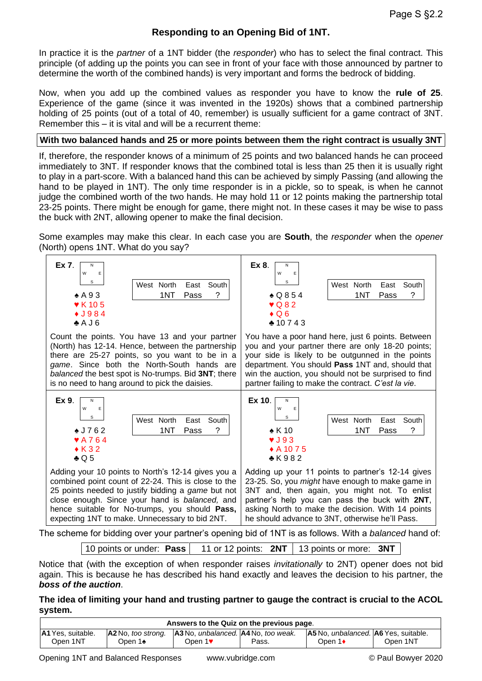### **Responding to an Opening Bid of 1NT.**

In practice it is the *partner* of a 1NT bidder (the *responder*) who has to select the final contract. This principle (of adding up the points you can see in front of your face with those announced by partner to determine the worth of the combined hands) is very important and forms the bedrock of bidding.

Now, when you add up the combined values as responder you have to know the **rule of 25**. Experience of the game (since it was invented in the 1920s) shows that a combined partnership holding of 25 points (out of a total of 40, remember) is usually sufficient for a game contract of 3NT. Remember this – it is vital and will be a recurrent theme:

#### **With two balanced hands and 25 or more points between them the right contract is usually 3NT**

If, therefore, the responder knows of a minimum of 25 points and two balanced hands he can proceed immediately to 3NT. If responder knows that the combined total is less than 25 then it is usually right to play in a part-score. With a balanced hand this can be achieved by simply Passing (and allowing the hand to be played in 1NT). The only time responder is in a pickle, so to speak, is when he cannot judge the combined worth of the two hands. He may hold 11 or 12 points making the partnership total 23-25 points. There might be enough for game, there might not. In these cases it may be wise to pass the buck with 2NT, allowing opener to make the final decision.

Some examples may make this clear. In each case you are **South**, the *responder* when the *opener* (North) opens 1NT. What do you say?

| Ex 7.                                                                                                                                                                                                                                                                                                                                                                                                                                | Ex 8.                                                                                                                                                                                                                                                                                                                   |  |  |
|--------------------------------------------------------------------------------------------------------------------------------------------------------------------------------------------------------------------------------------------------------------------------------------------------------------------------------------------------------------------------------------------------------------------------------------|-------------------------------------------------------------------------------------------------------------------------------------------------------------------------------------------------------------------------------------------------------------------------------------------------------------------------|--|--|
| N                                                                                                                                                                                                                                                                                                                                                                                                                                    | N                                                                                                                                                                                                                                                                                                                       |  |  |
| W                                                                                                                                                                                                                                                                                                                                                                                                                                    | W                                                                                                                                                                                                                                                                                                                       |  |  |
| E                                                                                                                                                                                                                                                                                                                                                                                                                                    | Ε                                                                                                                                                                                                                                                                                                                       |  |  |
| s                                                                                                                                                                                                                                                                                                                                                                                                                                    | s                                                                                                                                                                                                                                                                                                                       |  |  |
| South                                                                                                                                                                                                                                                                                                                                                                                                                                | West North                                                                                                                                                                                                                                                                                                              |  |  |
| West North                                                                                                                                                                                                                                                                                                                                                                                                                           | South                                                                                                                                                                                                                                                                                                                   |  |  |
| East                                                                                                                                                                                                                                                                                                                                                                                                                                 | East                                                                                                                                                                                                                                                                                                                    |  |  |
| ?                                                                                                                                                                                                                                                                                                                                                                                                                                    | ?                                                                                                                                                                                                                                                                                                                       |  |  |
| $\triangle$ A 93                                                                                                                                                                                                                                                                                                                                                                                                                     | $\bullet$ Q854                                                                                                                                                                                                                                                                                                          |  |  |
| 1NT                                                                                                                                                                                                                                                                                                                                                                                                                                  | 1NT                                                                                                                                                                                                                                                                                                                     |  |  |
| Pass                                                                                                                                                                                                                                                                                                                                                                                                                                 | Pass                                                                                                                                                                                                                                                                                                                    |  |  |
| $\blacktriangledown$ K 105                                                                                                                                                                                                                                                                                                                                                                                                           | $\sqrt{Q82}$                                                                                                                                                                                                                                                                                                            |  |  |
| $\bullet$ J984                                                                                                                                                                                                                                                                                                                                                                                                                       | $\bullet$ Q 6                                                                                                                                                                                                                                                                                                           |  |  |
| AJ6                                                                                                                                                                                                                                                                                                                                                                                                                                  | $*10743$                                                                                                                                                                                                                                                                                                                |  |  |
| Count the points. You have 13 and your partner                                                                                                                                                                                                                                                                                                                                                                                       | You have a poor hand here, just 6 points. Between                                                                                                                                                                                                                                                                       |  |  |
| (North) has 12-14. Hence, between the partnership                                                                                                                                                                                                                                                                                                                                                                                    | you and your partner there are only 18-20 points;                                                                                                                                                                                                                                                                       |  |  |
| there are 25-27 points, so you want to be in a                                                                                                                                                                                                                                                                                                                                                                                       | your side is likely to be outgunned in the points                                                                                                                                                                                                                                                                       |  |  |
| game. Since both the North-South hands are                                                                                                                                                                                                                                                                                                                                                                                           | department. You should Pass 1NT and, should that                                                                                                                                                                                                                                                                        |  |  |
| balanced the best spot is No-trumps. Bid 3NT; there                                                                                                                                                                                                                                                                                                                                                                                  | win the auction, you should not be surprised to find                                                                                                                                                                                                                                                                    |  |  |
| is no need to hang around to pick the daisies.                                                                                                                                                                                                                                                                                                                                                                                       | partner failing to make the contract. C'est la vie.                                                                                                                                                                                                                                                                     |  |  |
| Ex 9.                                                                                                                                                                                                                                                                                                                                                                                                                                | Ex 10.                                                                                                                                                                                                                                                                                                                  |  |  |
| N                                                                                                                                                                                                                                                                                                                                                                                                                                    | N                                                                                                                                                                                                                                                                                                                       |  |  |
| W                                                                                                                                                                                                                                                                                                                                                                                                                                    | W                                                                                                                                                                                                                                                                                                                       |  |  |
| Ε                                                                                                                                                                                                                                                                                                                                                                                                                                    | Е                                                                                                                                                                                                                                                                                                                       |  |  |
| s                                                                                                                                                                                                                                                                                                                                                                                                                                    | s                                                                                                                                                                                                                                                                                                                       |  |  |
| West North                                                                                                                                                                                                                                                                                                                                                                                                                           | West North                                                                                                                                                                                                                                                                                                              |  |  |
| South                                                                                                                                                                                                                                                                                                                                                                                                                                | South                                                                                                                                                                                                                                                                                                                   |  |  |
| East                                                                                                                                                                                                                                                                                                                                                                                                                                 | East                                                                                                                                                                                                                                                                                                                    |  |  |
| $*J762$                                                                                                                                                                                                                                                                                                                                                                                                                              | $\triangle$ K 10                                                                                                                                                                                                                                                                                                        |  |  |
| ?                                                                                                                                                                                                                                                                                                                                                                                                                                    | ?                                                                                                                                                                                                                                                                                                                       |  |  |
| 1NT                                                                                                                                                                                                                                                                                                                                                                                                                                  | 1NT                                                                                                                                                                                                                                                                                                                     |  |  |
| Pass                                                                                                                                                                                                                                                                                                                                                                                                                                 | Pass                                                                                                                                                                                                                                                                                                                    |  |  |
| $\blacktriangledown$ A 7 6 4                                                                                                                                                                                                                                                                                                                                                                                                         | $\blacktriangledown$ J 93                                                                                                                                                                                                                                                                                               |  |  |
| $\bullet$ K 32                                                                                                                                                                                                                                                                                                                                                                                                                       | ◆ A 10 7 5                                                                                                                                                                                                                                                                                                              |  |  |
| $\triangle$ Q 5                                                                                                                                                                                                                                                                                                                                                                                                                      | $*K982$                                                                                                                                                                                                                                                                                                                 |  |  |
| Adding your 10 points to North's 12-14 gives you a<br>combined point count of 22-24. This is close to the<br>25 points needed to justify bidding a <i>game</i> but not<br>close enough. Since your hand is balanced, and<br>hence suitable for No-trumps, you should Pass,<br>expecting 1NT to make. Unnecessary to bid 2NT.<br>be seberge for bidding over vour portporio enoring bid of 4NIT is as follows. With a beleveed hond o | Adding up your 11 points to partner's 12-14 gives<br>23-25. So, you <i>might</i> have enough to make game in<br>3NT and, then again, you might not. To enlist<br>partner's help you can pass the buck with 2NT,<br>asking North to make the decision. With 14 points<br>he should advance to 3NT, otherwise he'll Pass. |  |  |

The scheme for bidding over your partner's opening bid of 1NT is as follows. With a *balanced* hand of:

10 points or under: **Pass** 11 or 12 points: **2NT** 13 points or more: **3NT**

Notice that (with the exception of when responder raises *invitationally* to 2NT) opener does not bid again. This is because he has described his hand exactly and leaves the decision to his partner, the *boss of the auction*.

#### **The idea of limiting your hand and trusting partner to gauge the contract is crucial to the ACOL system.**

| Answers to the Quiz on the previous page. |         |                                                                                         |       |                                                    |          |
|-------------------------------------------|---------|-----------------------------------------------------------------------------------------|-------|----------------------------------------------------|----------|
| <b>A1</b> Yes. suitable.                  |         | $ A2 \text{ No.}$ too strong. $ A3 \text{ No.}$ unbalanced. $ A4 \text{ No.}$ too weak. |       | <b>A5</b> No. <i>unbalanced.</i> A6 Yes. suitable. |          |
| Open 1NT                                  | Open 1♠ | Open 1♥                                                                                 | Pass. | Open 1 <b>◆</b>                                    | Open 1NT |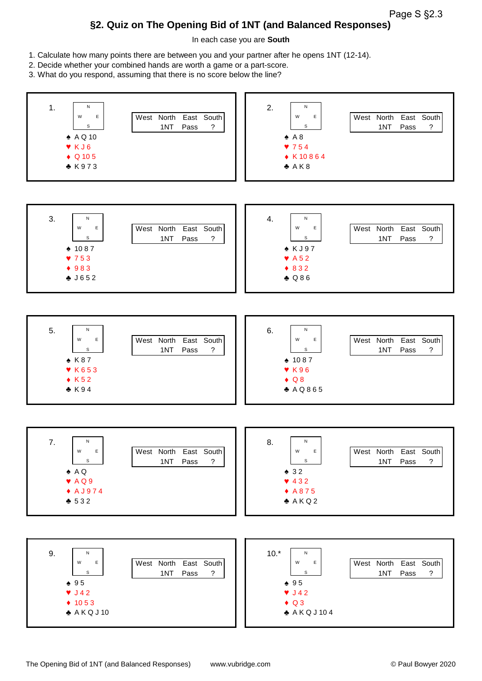Page S §2.3

## **§2. Quiz on The Opening Bid of 1NT (and Balanced Responses)**

In each case you are **South**

- 1. Calculate how many points there are between you and your partner after he opens 1NT (12-14).
- 2. Decide whether your combined hands are worth a game or a part-score.
- 3. What do you respond, assuming that there is no score below the line?

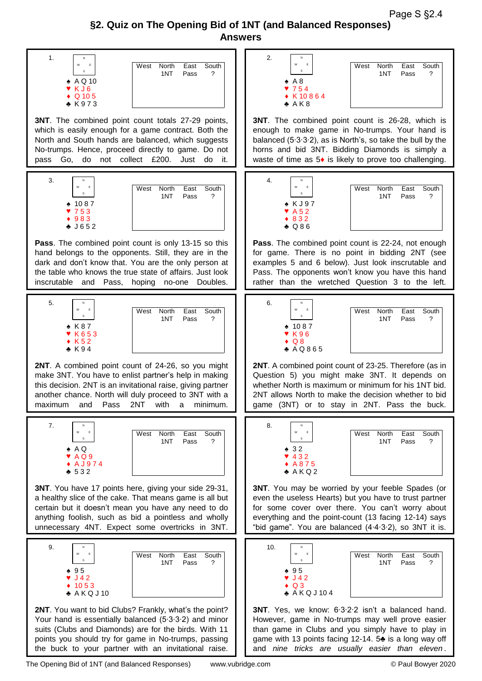Page S §2.4

## **§2. Quiz on The Opening Bid of 1NT (and Balanced Responses) Answers**

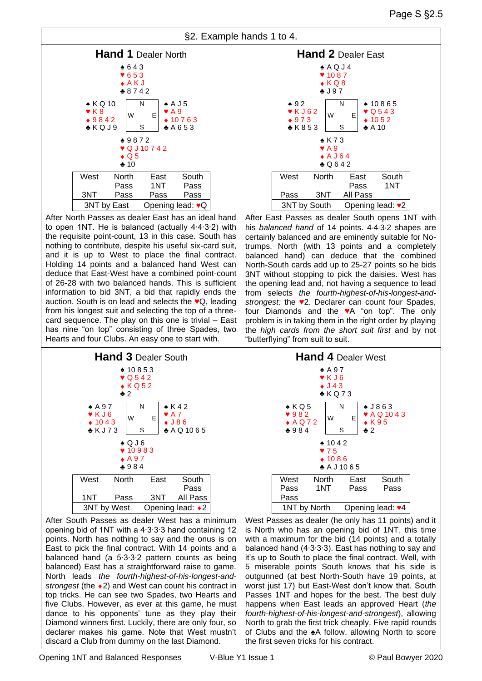



After North Passes as dealer East has an ideal hand to open 1NT. He is balanced (actually 4∙4∙3∙2) with the requisite point-count, 13 in this case. South has nothing to contribute, despite his useful six-card suit, and it is up to West to place the final contract. Holding 14 points and a balanced hand West can deduce that East-West have a combined point-count of 26-28 with two balanced hands. This is sufficient information to bid 3NT, a bid that rapidly ends the auction. South is on lead and selects the ♥Q, leading from his longest suit and selecting the top of a threecard sequence. The play on this one is trivial – East has nine "on top" consisting of three Spades, two Hearts and four Clubs. An easy one to start with.



After South Passes as dealer West has a minimum opening bid of 1NT with a 4∙3∙3∙3 hand containing 12 points. North has nothing to say and the onus is on East to pick the final contract. With 14 points and a balanced hand (a 5∙3∙3∙2 pattern counts as being balanced) East has a straightforward raise to game. North leads *the fourth-highest-of-his-longest-andstrongest* (the  $\triangle$ 2) and West can count his contract in top tricks. He can see two Spades, two Hearts and five Clubs. However, as ever at this game, he must dance to his opponents' tune as they play their Diamond winners first. Luckily, there are only four, so declarer makes his game. Note that West mustn't discard a Club from dummy on the last Diamond.



After East Passes as dealer South opens 1NT with his *balanced hand* of 14 points. 4-4-3-2 shapes are certainly balanced and are eminently suitable for Notrumps. North (with 13 points and a completely balanced hand) can deduce that the combined North-South cards add up to 25-27 points so he bids 3NT without stopping to pick the daisies. West has the opening lead and, not having a sequence to lead from selects *the fourth-highest-of-his-longest-andstrongest;* the ♥2. Declarer can count four Spades, four Diamonds and the ♥A "on top". The only problem is in taking them in the right order by playing the *high cards from the short suit first* and by not "butterflying" from suit to suit.



West Passes as dealer (he only has 11 points) and it is North who has an opening bid of 1NT, this time with a maximum for the bid (14 points) and a totally balanced hand (4∙3∙3∙3). East has nothing to say and it's up to South to place the final contract. Well, with 5 miserable points South knows that his side is outgunned (at best North-South have 19 points, at worst just 17) but East-West don't know that. South Passes 1NT and hopes for the best. The best duly happens when East leads an approved Heart (*the fourth-highest-of-his-longest-and-strongest*), allowing North to grab the first trick cheaply. Five rapid rounds of Clubs and the ♠A follow, allowing North to score the first seven tricks for his contract.